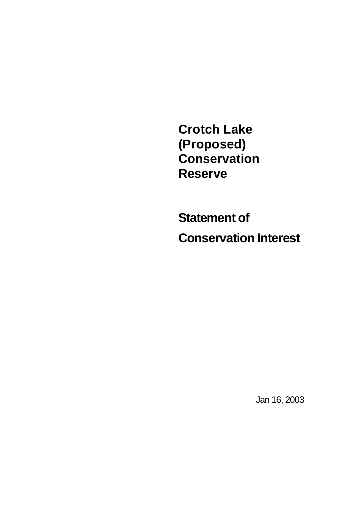**Crotch Lake (Proposed) Conservation Reserve**

**Statement of Conservation Interest**

Jan 16, 2003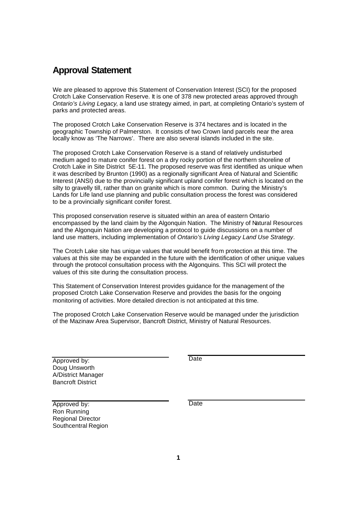# **Approval Statement**

We are pleased to approve this Statement of Conservation Interest (SCI) for the proposed Crotch Lake Conservation Reserve. It is one of 378 new protected areas approved through *Ontario's Living Legacy*, a land use strategy aimed, in part, at completing Ontario's system of parks and protected areas.

The proposed Crotch Lake Conservation Reserve is 374 hectares and is located in the geographic Township of Palmerston. It consists of two Crown land parcels near the area locally know as 'The Narrows'. There are also several islands included in the site.

The proposed Crotch Lake Conservation Reserve is a stand of relatively undisturbed medium aged to mature conifer forest on a dry rocky portion of the northern shoreline of Crotch Lake in Site District 5E-11. The proposed reserve was first identified as unique when it was described by Brunton (1990) as a regionally significant Area of Natural and Scientific Interest (ANSI) due to the provincially significant upland conifer forest which is located on the silty to gravelly till, rather than on granite which is more common. During the Ministry's Lands for Life land use planning and public consultation process the forest was considered to be a provincially significant conifer forest.

This proposed conservation reserve is situated within an area of eastern Ontario encompassed by the land claim by the Algonquin Nation. The Ministry of Natural Resources and the Algonquin Nation are developing a protocol to guide discussions on a number of land use matters, including implementation of *Ontario's Living Legacy Land Use Strategy*.

The Crotch Lake site has unique values that would benefit from protection at this time. The values at this site may be expanded in the future with the identification of other unique values through the protocol consultation process with the Algonquins. This SCI will protect the values of this site during the consultation process.

This Statement of Conservation Interest provides guidance for the management of the proposed Crotch Lake Conservation Reserve and provides the basis for the ongoing monitoring of activities. More detailed direction is not anticipated at this time.

The proposed Crotch Lake Conservation Reserve would be managed under the jurisdiction of the Mazinaw Area Supervisor, Bancroft District, Ministry of Natural Resources.

Approved by: Doug Unsworth A/District Manager Bancroft District

**Date** 

Approved by: Ron Running Regional Director Southcentral Region **Date**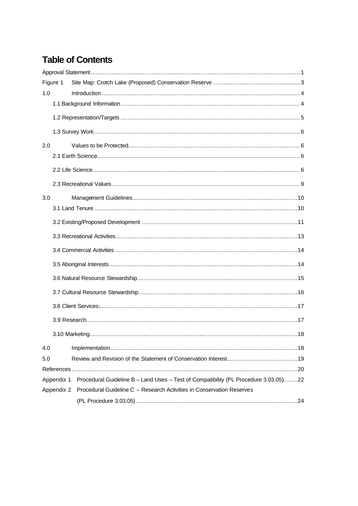# **Table of Contents**

| Figure 1   |                                                                                     |  |  |  |
|------------|-------------------------------------------------------------------------------------|--|--|--|
| 1.0        |                                                                                     |  |  |  |
|            |                                                                                     |  |  |  |
|            |                                                                                     |  |  |  |
|            |                                                                                     |  |  |  |
| 2.0        |                                                                                     |  |  |  |
|            |                                                                                     |  |  |  |
|            |                                                                                     |  |  |  |
|            |                                                                                     |  |  |  |
| 3.0        |                                                                                     |  |  |  |
|            |                                                                                     |  |  |  |
|            |                                                                                     |  |  |  |
|            |                                                                                     |  |  |  |
|            |                                                                                     |  |  |  |
|            |                                                                                     |  |  |  |
|            |                                                                                     |  |  |  |
|            |                                                                                     |  |  |  |
|            |                                                                                     |  |  |  |
|            |                                                                                     |  |  |  |
|            |                                                                                     |  |  |  |
| 4.0        |                                                                                     |  |  |  |
| 5.0        |                                                                                     |  |  |  |
|            |                                                                                     |  |  |  |
| Appendix 1 | Procedural Guideline B - Land Uses - Test of Compatibility (PL Procedure 3.03.05)22 |  |  |  |
| Appendix 2 | Procedural Guideline C - Research Activities in Conservation Reserves               |  |  |  |
|            |                                                                                     |  |  |  |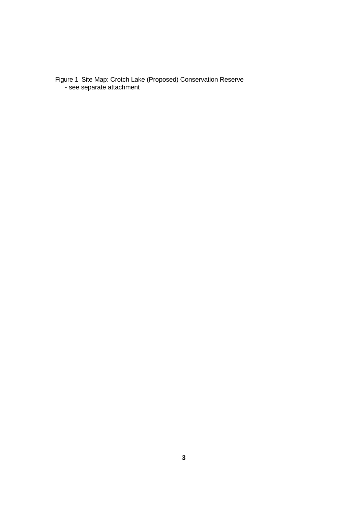Figure 1 Site Map: Crotch Lake (Proposed) Conservation Reserve - see separate attachment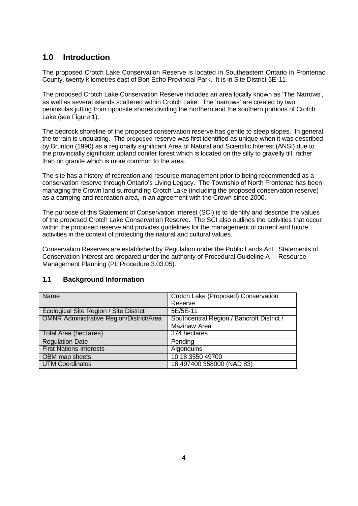# **1.0 Introduction**

The proposed Crotch Lake Conservation Reserve is located in Southeastern Ontario in Frontenac County, twenty kilometres east of Bon Echo Provincial Park. It is in Site District 5E-11.

The proposed Crotch Lake Conservation Reserve includes an area locally known as 'The Narrows', as well as several islands scattered within Crotch Lake. The 'narrows' are created by two peninsulas jutting from opposite shores dividing the northern and the southern portions of Crotch Lake (see Figure 1).

The bedrock shoreline of the proposed conservation reserve has gentle to steep slopes. In general, the terrain is undulating. The proposed reserve was first identified as unique when it was described by Brunton (1990) as a regionally significant Area of Natural and Scientific Interest (ANSI) due to the provincially significant upland conifer forest which is located on the silty to gravelly till, rather than on granite which is more common to the area.

The site has a history of recreation and resource management prior to being recommended as a conservation reserve through Ontario's Living Legacy. The Township of North Frontenac has been managing the Crown land surrounding Crotch Lake (including the proposed conservation reserve) as a camping and recreation area, in an agreement with the Crown since 2000.

The purpose of this Statement of Conservation Interest (SCI) is to identify and describe the values of the proposed Crotch Lake Conservation Reserve. The SCI also outlines the activities that occur within the proposed reserve and provides guidelines for the management of current and future activities in the context of protecting the natural and cultural values.

Conservation Reserves are established by Regulation under the Public Lands Act. Statements of Conservation Interest are prepared under the authority of Procedural Guideline A – Resource Management Planning (PL Procedure 3.03.05).

# **1.1 Background Information**

| Name                                            | Crotch Lake (Proposed) Conservation       |
|-------------------------------------------------|-------------------------------------------|
|                                                 | Reserve                                   |
| Ecological Site Region / Site District          | 5E/5E-11                                  |
| <b>OMNR Administrative Region/District/Area</b> | Southcentral Region / Bancroft District / |
|                                                 | Mazinaw Area                              |
| Total Area (hectares)                           | 374 hectares                              |
| <b>Regulation Date</b>                          | Pending                                   |
| <b>First Nations Interests</b>                  | <b>Algonquins</b>                         |
| <b>OBM</b> map sheets                           | 10 18 3550 49700                          |
| <b>UTM Coordinates</b>                          | 18 497400 358000 (NAD 83)                 |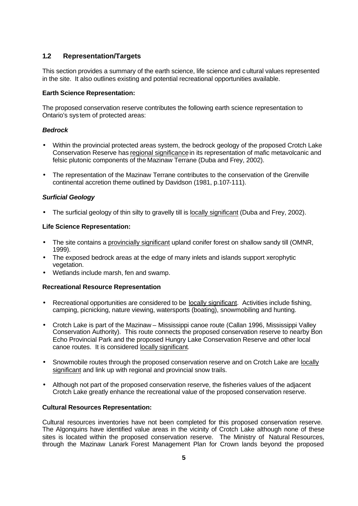# **1.2 Representation/Targets**

This section provides a summary of the earth science, life science and cultural values represented in the site. It also outlines existing and potential recreational opportunities available.

#### **Earth Science Representation:**

The proposed conservation reserve contributes the following earth science representation to Ontario's system of protected areas:

#### *Bedrock*

- Within the provincial protected areas system, the bedrock geology of the proposed Crotch Lake Conservation Reserve has regional significance in its representation of mafic metavolcanic and felsic plutonic components of the Mazinaw Terrane (Duba and Frey, 2002).
- The representation of the Mazinaw Terrane contributes to the conservation of the Grenville continental accretion theme outlined by Davidson (1981, p.107-111).

#### *Surficial Geology*

• The surficial geology of thin silty to gravelly till is locally significant (Duba and Frey, 2002).

#### **Life Science Representation:**

- The site contains a provincially significant upland conifer forest on shallow sandy till (OMNR, 1999).
- The exposed bedrock areas at the edge of many inlets and islands support xerophytic vegetation.
- Wetlands include marsh, fen and swamp.

#### **Recreational Resource Representation**

- Recreational opportunities are considered to be locally significant. Activities include fishing, camping, picnicking, nature viewing, watersports (boating), snowmobiling and hunting.
- Crotch Lake is part of the Mazinaw Mississippi canoe route (Callan 1996, Mississippi Valley Conservation Authority). This route connects the proposed conservation reserve to nearby Bon Echo Provincial Park and the proposed Hungry Lake Conservation Reserve and other local canoe routes. It is considered locally significant.
- Snowmobile routes through the proposed conservation reserve and on Crotch Lake are locally significant and link up with regional and provincial snow trails.
- Although not part of the proposed conservation reserve, the fisheries values of the adjacent Crotch Lake greatly enhance the recreational value of the proposed conservation reserve.

#### **Cultural Resources Representation:**

Cultural resources inventories have not been completed for this proposed conservation reserve. The Algonquins have identified value areas in the vicinity of Crotch Lake although none of these sites is located within the proposed conservation reserve. The Ministry of Natural Resources, through the Mazinaw Lanark Forest Management Plan for Crown lands beyond the proposed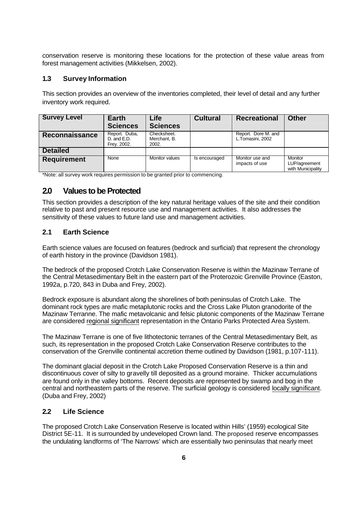conservation reserve is monitoring these locations for the protection of these value areas from forest management activities (Mikkelsen, 2002).

# **1.3 Survey Information**

This section provides an overview of the inventories completed, their level of detail and any further inventory work required.

| <b>Survey Level</b> | Earth<br><b>Sciences</b>                    | Life<br><b>Sciences</b>              | <b>Cultural</b> | <b>Recreational</b>                     | <b>Other</b>                                  |
|---------------------|---------------------------------------------|--------------------------------------|-----------------|-----------------------------------------|-----------------------------------------------|
| Reconnaissance      | Report. Duba,<br>D. and E.D.<br>Frey. 2002. | Checksheet.<br>Merchant, B.<br>2002. |                 | Report. Dore M. and<br>L.Tomasini, 2002 |                                               |
| <b>Detailed</b>     |                                             |                                      |                 |                                         |                                               |
| <b>Requirement</b>  | None                                        | Monitor values                       | Is encouraged   | Monitor use and<br>impacts of use       | Monitor<br>LUP/agreement<br>with Municipality |

\*Note: all survey work requires permission to be granted prior to commencing.

# **2.0 Values to be Protected**

This section provides a description of the key natural heritage values of the site and their condition relative to past and present resource use and management activities. It also addresses the sensitivity of these values to future land use and management activities.

# **2.1 Earth Science**

Earth science values are focused on features (bedrock and surficial) that represent the chronology of earth history in the province (Davidson 1981).

The bedrock of the proposed Crotch Lake Conservation Reserve is within the Mazinaw Terrane of the Central Metasedimentary Belt in the eastern part of the Proterozoic Grenville Province (Easton, 1992a, p.720, 843 in Duba and Frey, 2002).

Bedrock exposure is abundant along the shorelines of both peninsulas of Crotch Lake. The dominant rock types are mafic metaplutonic rocks and the Cross Lake Pluton granodorite of the Mazinaw Terranne. The mafic metavolcanic and felsic plutonic components of the Mazinaw Terrane are considered regional significant representation in the Ontario Parks Protected Area System.

The Mazinaw Terrane is one of five lithotectonic terranes of the Central Metasedimentary Belt, as such, its representation in the proposed Crotch Lake Conservation Reserve contributes to the conservation of the Grenville continental accretion theme outlined by Davidson (1981, p.107-111).

The dominant glacial deposit in the Crotch Lake Proposed Conservation Reserve is a thin and discontinuous cover of silty to gravelly till deposited as a ground moraine. Thicker accumulations are found only in the valley bottoms. Recent deposits are represented by swamp and bog in the central and northeastern parts of the reserve. The surficial geology is considered locally significant. (Duba and Frey, 2002)

# **2.2 Life Science**

The proposed Crotch Lake Conservation Reserve is located within Hills' (1959) ecological Site District 5E-11. It is surrounded by undeveloped Crown land. The proposed reserve encompasses the undulating landforms of 'The Narrows' which are essentially two peninsulas that nearly meet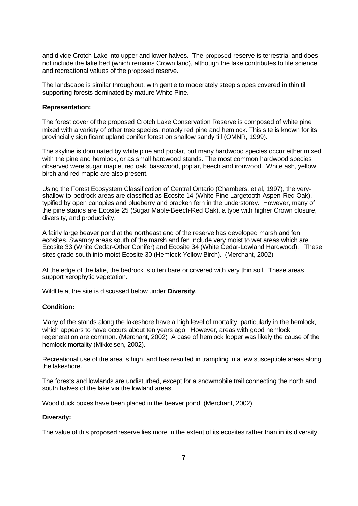and divide Crotch Lake into upper and lower halves. The proposed reserve is terrestrial and does not include the lake bed (which remains Crown land), although the lake contributes to life science and recreational values of the proposed reserve.

The landscape is similar throughout, with gentle to moderately steep slopes covered in thin till supporting forests dominated by mature White Pine.

#### **Representation:**

The forest cover of the proposed Crotch Lake Conservation Reserve is composed of white pine mixed with a variety of other tree species, notably red pine and hemlock. This site is known for its provincially significant upland conifer forest on shallow sandy till (OMNR, 1999).

The skyline is dominated by white pine and poplar, but many hardwood species occur either mixed with the pine and hemlock, or as small hardwood stands. The most common hardwood species observed were sugar maple, red oak, basswood, poplar, beech and ironwood. White ash, yellow birch and red maple are also present.

Using the Forest Ecosystem Classification of Central Ontario (Chambers, et al, 1997), the veryshallow-to-bedrock areas are classified as Ecosite 14 (White Pine-Largetooth Aspen-Red Oak), typified by open canopies and blueberry and bracken fern in the understorey. However, many of the pine stands are Ecosite 25 (Sugar Maple-Beech-Red Oak), a type with higher Crown closure, diversity, and productivity.

A fairly large beaver pond at the northeast end of the reserve has developed marsh and fen ecosites. Swampy areas south of the marsh and fen include very moist to wet areas which are Ecosite 33 (White Cedar-Other Conifer) and Ecosite 34 (White Cedar-Lowland Hardwood). These sites grade south into moist Ecosite 30 (Hemlock-Yellow Birch). (Merchant, 2002)

At the edge of the lake, the bedrock is often bare or covered with very thin soil. These areas support xerophytic vegetation.

Wildlife at the site is discussed below under **Diversity**.

#### **Condition:**

Many of the stands along the lakeshore have a high level of mortality, particularly in the hemlock, which appears to have occurs about ten years ago. However, areas with good hemlock regeneration are common. (Merchant, 2002) A case of hemlock looper was likely the cause of the hemlock mortality (Mikkelsen, 2002).

Recreational use of the area is high, and has resulted in trampling in a few susceptible areas along the lakeshore.

The forests and lowlands are undisturbed, except for a snowmobile trail connecting the north and south halves of the lake via the lowland areas.

Wood duck boxes have been placed in the beaver pond. (Merchant, 2002)

#### **Diversity:**

The value of this proposed reserve lies more in the extent of its ecosites rather than in its diversity.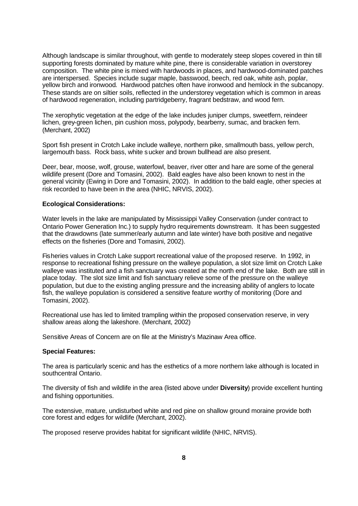Although landscape is similar throughout, with gentle to moderately steep slopes covered in thin till supporting forests dominated by mature white pine, there is considerable variation in overstorey composition. The white pine is mixed with hardwoods in places, and hardwood-dominated patches are interspersed. Species include sugar maple, basswood, beech, red oak, white ash, poplar, yellow birch and ironwood*.* Hardwood patches often have ironwood and hemlock in the subcanopy. These stands are on siltier soils, reflected in the understorey vegetation which is common in areas of hardwood regeneration, including partridgeberry, fragrant bedstraw, and wood fern.

The xerophytic vegetation at the edge of the lake includes juniper clumps, sweetfern, reindeer lichen, grey-green lichen, pin cushion moss, polypody, bearberry, sumac, and bracken fern. (Merchant, 2002)

Sport fish present in Crotch Lake include walleye, northern pike, smallmouth bass, yellow perch, largemouth bass. Rock bass, white sucker and brown bullhead are also present.

Deer, bear, moose, wolf, grouse, waterfowl, beaver, river otter and hare are some of the general wildlife present (Dore and Tomasini, 2002). Bald eagles have also been known to nest in the general vicinity (Ewing in Dore and Tomasini, 2002). In addition to the bald eagle, other species at risk recorded to have been in the area (NHIC, NRVIS, 2002).

#### **Ecological Considerations:**

Water levels in the lake are manipulated by Mississippi Valley Conservation (under contract to Ontario Power Generation Inc.) to supply hydro requirements downstream. It has been suggested that the drawdowns (late summer/early autumn and late winter) have both positive and negative effects on the fisheries (Dore and Tomasini, 2002).

Fisheries values in Crotch Lake support recreational value of the proposed reserve. In 1992, in response to recreational fishing pressure on the walleye population, a slot size limit on Crotch Lake walleye was instituted and a fish sanctuary was created at the north end of the lake. Both are still in place today. The slot size limit and fish sanctuary relieve some of the pressure on the walleye population, but due to the existing angling pressure and the increasing ability of anglers to locate fish, the walleye population is considered a sensitive feature worthy of monitoring (Dore and Tomasini, 2002).

Recreational use has led to limited trampling within the proposed conservation reserve, in very shallow areas along the lakeshore. (Merchant, 2002)

Sensitive Areas of Concern are on file at the Ministry's Mazinaw Area office.

#### **Special Features:**

The area is particularly scenic and has the esthetics of a more northern lake although is located in southcentral Ontario.

The diversity of fish and wildlife in the area (listed above under **Diversity**) provide excellent hunting and fishing opportunities.

The extensive, mature, undisturbed white and red pine on shallow ground moraine provide both core forest and edges for wildlife (Merchant, 2002).

The proposed reserve provides habitat for significant wildlife (NHIC, NRVIS).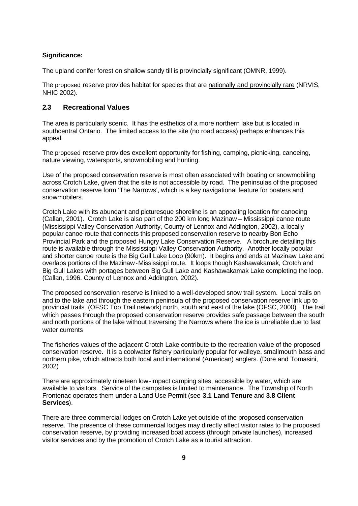#### **Significance:**

The upland conifer forest on shallow sandy till is provincially significant (OMNR, 1999).

The proposed reserve provides habitat for species that are nationally and provincially rare (NRVIS, NHIC 2002).

#### **2.3 Recreational Values**

The area is particularly scenic. It has the esthetics of a more northern lake but is located in southcentral Ontario. The limited access to the site (no road access) perhaps enhances this appeal.

The proposed reserve provides excellent opportunity for fishing, camping, picnicking, canoeing, nature viewing, watersports, snowmobiling and hunting.

Use of the proposed conservation reserve is most often associated with boating or snowmobiling across Crotch Lake, given that the site is not accessible by road. The peninsulas of the proposed conservation reserve form 'The Narrows', which is a key navigational feature for boaters and snowmobilers.

Crotch Lake with its abundant and picturesque shoreline is an appealing location for canoeing (Callan, 2001). Crotch Lake is also part of the 200 km long Mazinaw – Mississippi canoe route (Mississippi Valley Conservation Authority, County of Lennox and Addington, 2002), a locally popular canoe route that connects this proposed conservation reserve to nearby Bon Echo Provincial Park and the proposed Hungry Lake Conservation Reserve. A brochure detailing this route is available through the Mississippi Valley Conservation Authority. Another locally popular and shorter canoe route is the Big Gull Lake Loop (90km). It begins and ends at Mazinaw Lake and overlaps portions of the Mazinaw-Mississippi route. It loops though Kashawakamak, Crotch and Big Gull Lakes with portages between Big Gull Lake and Kashawakamak Lake completing the loop. (Callan, 1996. County of Lennox and Addington, 2002).

The proposed conservation reserve is linked to a well-developed snow trail system. Local trails on and to the lake and through the eastern peninsula of the proposed conservation reserve link up to provincial trails (OFSC Top Trail network) north, south and east of the lake (OFSC, 2000). The trail which passes through the proposed conservation reserve provides safe passage between the south and north portions of the lake without traversing the Narrows where the ice is unreliable due to fast water currents

The fisheries values of the adjacent Crotch Lake contribute to the recreation value of the proposed conservation reserve. It is a coolwater fishery particularly popular for walleye, smallmouth bass and northern pike, which attracts both local and international (American) anglers. (Dore and Tomasini, 2002)

There are approximately nineteen low-impact camping sites, accessible by water, which are available to visitors. Service of the campsites is limited to maintenance. The Township of North Frontenac operates them under a Land Use Permit (see **3.1 Land Tenure** and **3.8 Client Services**).

There are three commercial lodges on Crotch Lake yet outside of the proposed conservation reserve. The presence of these commercial lodges may directly affect visitor rates to the proposed conservation reserve, by providing increased boat access (through private launches), increased visitor services and by the promotion of Crotch Lake as a tourist attraction.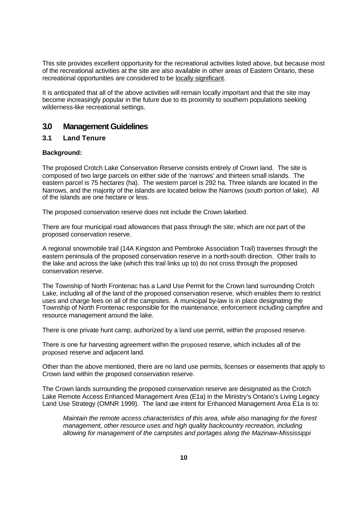This site provides excellent opportunity for the recreational activities listed above, but because most of the recreational activities at the site are also available in other areas of Eastern Ontario, these recreational opportunities are considered to be locally significant.

It is anticipated that all of the above activities will remain locally important and that the site may become increasingly popular in the future due to its proximity to southern populations seeking wilderness-like recreational settings.

# **3.0 Management Guidelines**

## **3.1 Land Tenure**

#### **Background:**

The proposed Crotch Lake Conservation Reserve consists entirely of Crown land. The site is composed of two large parcels on either side of the 'narrows' and thirteen small islands. The eastern parcel is 75 hectares (ha). The western parcel is 292 ha. Three islands are located in the Narrows, and the majority of the islands are located below the Narrows (south portion of lake). All of the islands are one hectare or less.

The proposed conservation reserve does not include the Crown lakebed.

There are four municipal road allowances that pass through the site; which are not part of the proposed conservation reserve.

A regional snowmobile trail (14A Kingston and Pembroke Association Trail) traverses through the eastern peninsula of the proposed conservation reserve in a north-south direction. Other trails to the lake and across the lake (which this trail links up to) do not cross through the proposed conservation reserve.

The Township of North Frontenac has a Land Use Permit for the Crown land surrounding Crotch Lake, including all of the land of the proposed conservation reserve, which enables them to restrict uses and charge fees on all of the campsites. A municipal by-law is in place designating the Township of North Frontenac responsible for the maintenance, enforcement including campfire and resource management around the lake.

There is one private hunt camp, authorized by a land use permit, within the proposed reserve.

There is one fur harvesting agreement within the proposed reserve, which includes all of the proposed reserve and adjacent land.

Other than the above mentioned, there are no land use permits, licenses or easements that apply to Crown land within the proposed conservation reserve.

The Crown lands surrounding the proposed conservation reserve are designated as the Crotch Lake Remote Access Enhanced Management Area (E1a) in the Ministry's Ontario's Living Legacy Land Use Strategy (OMNR 1999). The land use intent for Enhanced Management Area E1a is to:

*Maintain the remote access characteristics of this area, while also managing for the forest management, other resource uses and high quality backcountry recreation, including allowing for management of the campsites and portages along the Mazinaw-Mississippi*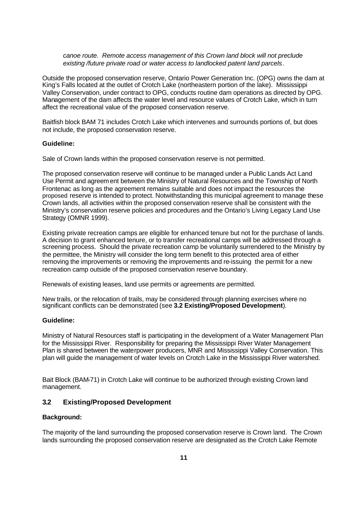#### *canoe route. Remote access management of this Crown land block will not preclude existing /future private road or water access to landlocked patent land parcels*.

Outside the proposed conservation reserve, Ontario Power Generation Inc. (OPG) owns the dam at King's Falls located at the outlet of Crotch Lake (northeastern portion of the lake). Mississippi Valley Conservation, under contract to OPG, conducts routine dam operations as directed by OPG. Management of the dam affects the water level and resource values of Crotch Lake, which in turn affect the recreational value of the proposed conservation reserve.

Baitfish block BAM 71 includes Crotch Lake which intervenes and surrounds portions of, but does not include, the proposed conservation reserve.

#### **Guideline:**

Sale of Crown lands within the proposed conservation reserve is not permitted.

The proposed conservation reserve will continue to be managed under a Public Lands Act Land Use Permit and agreement between the Ministry of Natural Resources and the Township of North Frontenac as long as the agreement remains suitable and does not impact the resources the proposed reserve is intended to protect. Notwithstanding this municipal agreement to manage these Crown lands, all activities within the proposed conservation reserve shall be consistent with the Ministry's conservation reserve policies and procedures and the Ontario's Living Legacy Land Use Strategy (OMNR 1999).

Existing private recreation camps are eligible for enhanced tenure but not for the purchase of lands. A decision to grant enhanced tenure, or to transfer recreational camps will be addressed through a screening process. Should the private recreation camp be voluntarily surrendered to the Ministry by the permittee, the Ministry will consider the long term benefit to this protected area of either removing the improvements or removing the improvements and re-issuing the permit for a new recreation camp outside of the proposed conservation reserve boundary.

Renewals of existing leases, land use permits or agreements are permitted.

New trails, or the relocation of trails, may be considered through planning exercises where no significant conflicts can be demonstrated (see **3.2 Existing/Proposed Development**).

#### **Guideline:**

Ministry of Natural Resources staff is participating in the development of a Water Management Plan for the Mississippi River. Responsibility for preparing the Mississippi River Water Management Plan is shared between the waterpower producers, MNR and Mississippi Valley Conservation. This plan will guide the management of water levels on Crotch Lake in the Mississippi River watershed.

Bait Block (BAM-71) in Crotch Lake will continue to be authorized through existing Crown land management.

#### **3.2 Existing/Proposed Development**

#### **Background:**

The majority of the land surrounding the proposed conservation reserve is Crown land. The Crown lands surrounding the proposed conservation reserve are designated as the Crotch Lake Remote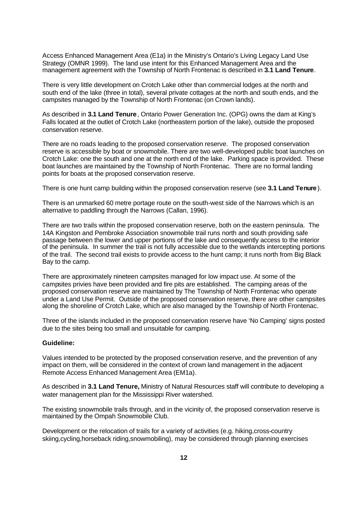Access Enhanced Management Area (E1a) in the Ministry's Ontario's Living Legacy Land Use Strategy (OMNR 1999). The land use intent for this Enhanced Management Area and the management agreement with the Township of North Frontenac is described in **3.1 Land Tenure**.

There is very little development on Crotch Lake other than commercial lodges at the north and south end of the lake (three in total), several private cottages at the north and south ends, and the campsites managed by the Township of North Frontenac (on Crown lands).

As described in **3.1 Land Tenure**, Ontario Power Generation Inc. (OPG) owns the dam at King's Falls located at the outlet of Crotch Lake (northeastern portion of the lake), outside the proposed conservation reserve.

There are no roads leading to the proposed conservation reserve. The proposed conservation reserve is accessible by boat or snowmobile. There are two well-developed public boat launches on Crotch Lake: one the south and one at the north end of the lake. Parking space is provided. These boat launches are maintained by the Township of North Frontenac. There are no formal landing points for boats at the proposed conservation reserve.

There is one hunt camp building within the proposed conservation reserve (see **3.1 Land Tenure** ).

There is an unmarked 60 metre portage route on the south-west side of the Narrows which is an alternative to paddling through the Narrows (Callan, 1996).

There are two trails within the proposed conservation reserve, both on the eastern peninsula. The 14A Kingston and Pembroke Association snowmobile trail runs north and south providing safe passage between the lower and upper portions of the lake and consequently access to the interior of the peninsula. In summer the trail is not fully accessible due to the wetlands intercepting portions of the trail. The second trail exists to provide access to the hunt camp; it runs north from Big Black Bay to the camp.

There are approximately nineteen campsites managed for low impact use. At some of the campsites privies have been provided and fire pits are established. The camping areas of the proposed conservation reserve are maintained by The Township of North Frontenac who operate under a Land Use Permit. Outside of the proposed conservation reserve, there are other campsites along the shoreline of Crotch Lake, which are also managed by the Township of North Frontenac.

Three of the islands included in the proposed conservation reserve have 'No Camping' signs posted due to the sites being too small and unsuitable for camping.

#### **Guideline:**

Values intended to be protected by the proposed conservation reserve, and the prevention of any impact on them, will be considered in the context of crown land management in the adjacent Remote Access Enhanced Management Area (EM1a).

As described in **3.1 Land Tenure,** Ministry of Natural Resources staff will contribute to developing a water management plan for the Mississippi River watershed.

The existing snowmobile trails through, and in the vicinity of, the proposed conservation reserve is maintained by the Ompah Snowmobile Club.

Development or the relocation of trails for a variety of activities (e.g. hiking,cross-country skiing,cycling,horseback riding,snowmobiling), may be considered through planning exercises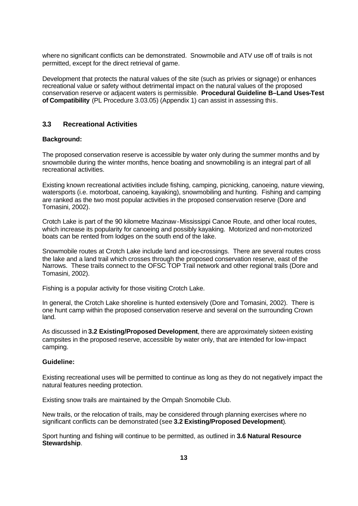where no significant conflicts can be demonstrated. Snowmobile and ATV use off of trails is not permitted, except for the direct retrieval of game.

Development that protects the natural values of the site (such as privies or signage) or enhances recreational value or safety without detrimental impact on the natural values of the proposed conservation reserve or adjacent waters is permissible. **Procedural Guideline B–Land Uses-Test of Compatibility** (PL Procedure 3.03.05) (Appendix 1) can assist in assessing this.

### **3.3 Recreational Activities**

#### **Background:**

The proposed conservation reserve is accessible by water only during the summer months and by snowmobile during the winter months, hence boating and snowmobiling is an integral part of all recreational activities.

Existing known recreational activities include fishing, camping, picnicking, canoeing, nature viewing, watersports (i.e. motorboat, canoeing, kayaking), snowmobiling and hunting. Fishing and camping are ranked as the two most popular activities in the proposed conservation reserve (Dore and Tomasini, 2002).

Crotch Lake is part of the 90 kilometre Mazinaw-Mississippi Canoe Route, and other local routes, which increase its popularity for canoeing and possibly kayaking. Motorized and non-motorized boats can be rented from lodges on the south end of the lake.

Snowmobile routes at Crotch Lake include land and ice-crossings. There are several routes cross the lake and a land trail which crosses through the proposed conservation reserve, east of the Narrows. These trails connect to the OFSC TOP Trail network and other regional trails (Dore and Tomasini, 2002).

Fishing is a popular activity for those visiting Crotch Lake.

In general, the Crotch Lake shoreline is hunted extensively (Dore and Tomasini, 2002). There is one hunt camp within the proposed conservation reserve and several on the surrounding Crown land.

As discussed in **3.2 Existing/Proposed Development**, there are approximately sixteen existing campsites in the proposed reserve, accessible by water only, that are intended for low-impact camping.

#### **Guideline:**

Existing recreational uses will be permitted to continue as long as they do not negatively impact the natural features needing protection.

Existing snow trails are maintained by the Ompah Snomobile Club.

New trails, or the relocation of trails, may be considered through planning exercises where no significant conflicts can be demonstrated (see **3.2 Existing/Proposed Development**).

Sport hunting and fishing will continue to be permitted, as outlined in **3.6 Natural Resource Stewardship**.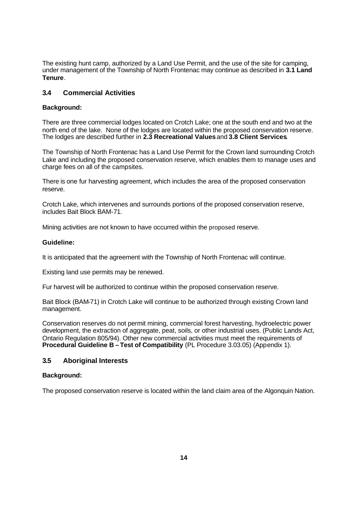The existing hunt camp, authorized by a Land Use Permit, and the use of the site for camping, under management of the Township of North Frontenac may continue as described in **3.1 Land Tenure**.

# **3.4 Commercial Activities**

## **Background:**

There are three commercial lodges located on Crotch Lake; one at the south end and two at the north end of the lake. None of the lodges are located within the proposed conservation reserve. The lodges are described further in **2.3 Recreational Values** and **3.8 Client Services**.

The Township of North Frontenac has a Land Use Permit for the Crown land surrounding Crotch Lake and including the proposed conservation reserve, which enables them to manage uses and charge fees on all of the campsites.

There is one fur harvesting agreement, which includes the area of the proposed conservation reserve.

Crotch Lake, which intervenes and surrounds portions of the proposed conservation reserve, includes Bait Block BAM-71.

Mining activities are not known to have occurred within the proposed reserve.

#### **Guideline:**

It is anticipated that the agreement with the Township of North Frontenac will continue.

Existing land use permits may be renewed.

Fur harvest will be authorized to continue within the proposed conservation reserve.

Bait Block (BAM-71) in Crotch Lake will continue to be authorized through existing Crown land management.

Conservation reserves do not permit mining, commercial forest harvesting, hydroelectric power development, the extraction of aggregate, peat, soils, or other industrial uses. (Public Lands Act, Ontario Regulation 805/94). Other new commercial activities must meet the requirements of **Procedural Guideline B – Test of Compatibility (PL Procedure 3.03.05) (Appendix 1).** 

#### **3.5 Aboriginal Interests**

#### **Background:**

The proposed conservation reserve is located within the land claim area of the Algonquin Nation.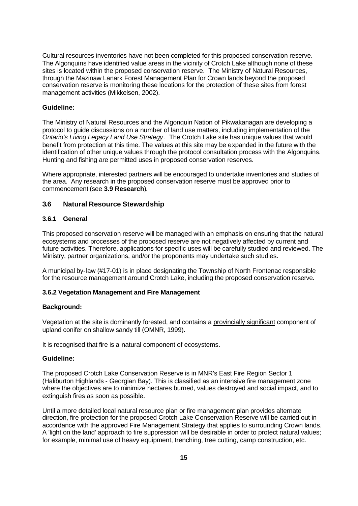Cultural resources inventories have not been completed for this proposed conservation reserve. The Algonquins have identified value areas in the vicinity of Crotch Lake although none of these sites is located within the proposed conservation reserve. The Ministry of Natural Resources, through the Mazinaw Lanark Forest Management Plan for Crown lands beyond the proposed conservation reserve is monitoring these locations for the protection of these sites from forest management activities (Mikkelsen, 2002).

#### **Guideline:**

The Ministry of Natural Resources and the Algonquin Nation of Pikwakanagan are developing a protocol to guide discussions on a number of land use matters, including implementation of the *Ontario's Living Legacy Land Use Strategy*. The Crotch Lake site has unique values that would benefit from protection at this time. The values at this site may be expanded in the future with the identification of other unique values through the protocol consultation process with the Algonquins. Hunting and fishing are permitted uses in proposed conservation reserves.

Where appropriate, interested partners will be encouraged to undertake inventories and studies of the area. Any research in the proposed conservation reserve must be approved prior to commencement (see **3.9 Research**).

#### **3.6 Natural Resource Stewardship**

#### **3.6.1 General**

This proposed conservation reserve will be managed with an emphasis on ensuring that the natural ecosystems and processes of the proposed reserve are not negatively affected by current and future activities. Therefore, applications for specific uses will be carefully studied and reviewed. The Ministry, partner organizations, and/or the proponents may undertake such studies.

A municipal by-law (#17-01) is in place designating the Township of North Frontenac responsible for the resource management around Crotch Lake, including the proposed conservation reserve.

#### **3.6.2 Vegetation Management and Fire Management**

#### **Background:**

Vegetation at the site is dominantly forested, and contains a provincially significant component of upland conifer on shallow sandy till (OMNR, 1999).

It is recognised that fire is a natural component of ecosystems.

#### **Guideline:**

The proposed Crotch Lake Conservation Reserve is in MNR's East Fire Region Sector 1 (Haliburton Highlands - Georgian Bay). This is classified as an intensive fire management zone where the objectives are to minimize hectares burned, values destroyed and social impact, and to extinguish fires as soon as possible.

Until a more detailed local natural resource plan or fire management plan provides alternate direction, fire protection for the proposed Crotch Lake Conservation Reserve will be carried out in accordance with the approved Fire Management Strategy that applies to surrounding Crown lands. A 'light on the land' approach to fire suppression will be desirable in order to protect natural values; for example, minimal use of heavy equipment, trenching, tree cutting, camp construction, etc.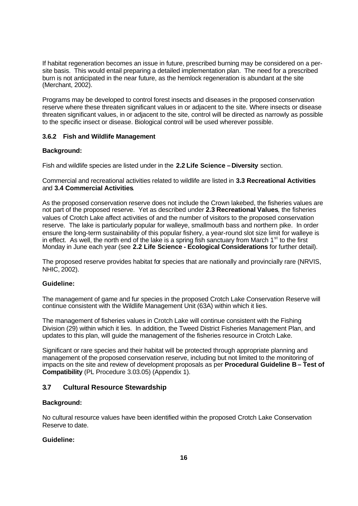If habitat regeneration becomes an issue in future, prescribed burning may be considered on a persite basis. This would entail preparing a detailed implementation plan. The need for a prescribed burn is not anticipated in the near future, as the hemlock regeneration is abundant at the site (Merchant, 2002).

Programs may be developed to control forest insects and diseases in the proposed conservation reserve where these threaten significant values in or adjacent to the site. Where insects or disease threaten significant values, in or adjacent to the site, control will be directed as narrowly as possible to the specific insect or disease. Biological control will be used wherever possible.

### **3.6.2 Fish and Wildlife Management**

### **Background:**

Fish and wildlife species are listed under in the **2.2 Life Science – Diversity** section.

Commercial and recreational activities related to wildlife are listed in **3.3 Recreational Activities**  and **3.4 Commercial Activities**.

As the proposed conservation reserve does not include the Crown lakebed, the fisheries values are not part of the proposed reserve. Yet as described under **2.3 Recreational Values**, the fisheries values of Crotch Lake affect activities of and the number of visitors to the proposed conservation reserve. The lake is particularly popular for walleye, smallmouth bass and northern pike. In order ensure the long-term sustainability of this popular fishery, a year-round slot size limit for walleye is in effect. As well, the north end of the lake is a spring fish sanctuary from March  $1<sup>st</sup>$  to the first Monday in June each year (see **2.2 Life Science - Ecological Considerations** for further detail).

The proposed reserve provides habitat for species that are nationally and provincially rare (NRVIS, NHIC, 2002).

#### **Guideline:**

The management of game and fur species in the proposed Crotch Lake Conservation Reserve will continue consistent with the Wildlife Management Unit (63A) within which it lies.

The management of fisheries values in Crotch Lake will continue consistent with the Fishing Division (29) within which it lies. In addition, the Tweed District Fisheries Management Plan, and updates to this plan, will guide the management of the fisheries resource in Crotch Lake.

Significant or rare species and their habitat will be protected through appropriate planning and management of the proposed conservation reserve, including but not limited to the monitoring of impacts on the site and review of development proposals as per **Procedural Guideline B – Test of Compatibility** (PL Procedure 3.03.05) (Appendix 1).

# **3.7 Cultural Resource Stewardship**

#### **Background:**

No cultural resource values have been identified within the proposed Crotch Lake Conservation Reserve to date.

#### **Guideline:**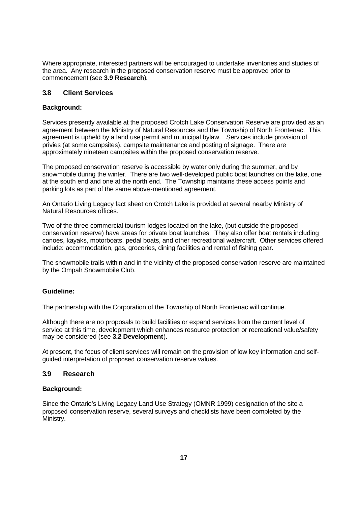Where appropriate, interested partners will be encouraged to undertake inventories and studies of the area. Any research in the proposed conservation reserve must be approved prior to commencement (see **3.9 Research**).

# **3.8 Client Services**

### **Background:**

Services presently available at the proposed Crotch Lake Conservation Reserve are provided as an agreement between the Ministry of Natural Resources and the Township of North Frontenac. This agreement is upheld by a land use permit and municipal bylaw. Services include provision of privies (at some campsites), campsite maintenance and posting of signage. There are approximately nineteen campsites within the proposed conservation reserve.

The proposed conservation reserve is accessible by water only during the summer, and by snowmobile during the winter. There are two well-developed public boat launches on the lake, one at the south end and one at the north end. The Township maintains these access points and parking lots as part of the same above-mentioned agreement.

An Ontario Living Legacy fact sheet on Crotch Lake is provided at several nearby Ministry of Natural Resources offices.

Two of the three commercial tourism lodges located on the lake, (but outside the proposed conservation reserve) have areas for private boat launches. They also offer boat rentals including canoes, kayaks, motorboats, pedal boats, and other recreational watercraft. Other services offered include: accommodation, gas, groceries, dining facilities and rental of fishing gear.

The snowmobile trails within and in the vicinity of the proposed conservation reserve are maintained by the Ompah Snowmobile Club.

#### **Guideline:**

The partnership with the Corporation of the Township of North Frontenac will continue.

Although there are no proposals to build facilities or expand services from the current level of service at this time, development which enhances resource protection or recreational value/safety may be considered (see **3.2 Development**).

At present, the focus of client services will remain on the provision of low key information and selfguided interpretation of proposed conservation reserve values.

# **3.9 Research**

#### **Background:**

Since the Ontario's Living Legacy Land Use Strategy (OMNR 1999) designation of the site a proposed conservation reserve, several surveys and checklists have been completed by the Ministry.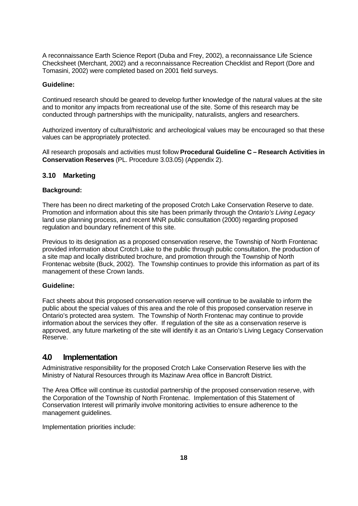A reconnaissance Earth Science Report (Duba and Frey, 2002), a reconnaissance Life Science Checksheet (Merchant, 2002) and a reconnaissance Recreation Checklist and Report (Dore and Tomasini, 2002) were completed based on 2001 field surveys.

#### **Guideline:**

Continued research should be geared to develop further knowledge of the natural values at the site and to monitor any impacts from recreational use of the site. Some of this research may be conducted through partnerships with the municipality, naturalists, anglers and researchers.

Authorized inventory of cultural/historic and archeological values may be encouraged so that these values can be appropriately protected.

All research proposals and activities must follow **Procedural Guideline C – Research Activities in Conservation Reserves** (PL. Procedure 3.03.05) (Appendix 2).

#### **3.10 Marketing**

#### **Background:**

There has been no direct marketing of the proposed Crotch Lake Conservation Reserve to date. Promotion and information about this site has been primarily through the *Ontario's Living Legacy* land use planning process, and recent MNR public consultation (2000) regarding proposed regulation and boundary refinement of this site.

Previous to its designation as a proposed conservation reserve, the Township of North Frontenac provided information about Crotch Lake to the public through public consultation, the production of a site map and locally distributed brochure, and promotion through the Township of North Frontenac website (Buck, 2002). The Township continues to provide this information as part of its management of these Crown lands.

#### **Guideline:**

Fact sheets about this proposed conservation reserve will continue to be available to inform the public about the special values of this area and the role of this proposed conservation reserve in Ontario's protected area system. The Township of North Frontenac may continue to provide information about the services they offer. If regulation of the site as a conservation reserve is approved, any future marketing of the site will identify it as an Ontario's Living Legacy Conservation Reserve.

# **4.0 Implementation**

Administrative responsibility for the proposed Crotch Lake Conservation Reserve lies with the Ministry of Natural Resources through its Mazinaw Area office in Bancroft District.

The Area Office will continue its custodial partnership of the proposed conservation reserve, with the Corporation of the Township of North Frontenac. Implementation of this Statement of Conservation Interest will primarily involve monitoring activities to ensure adherence to the management guidelines.

Implementation priorities include: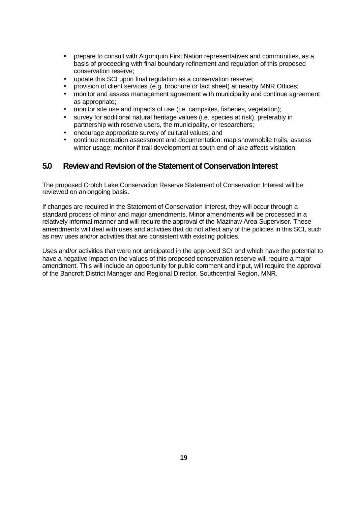- prepare to consult with Algonquin First Nation representatives and communities, as a basis of proceeding with final boundary refinement and regulation of this proposed conservation reserve;
- update this SCI upon final regulation as a conservation reserve;
- provision of client services (e.g. brochure or fact sheet) at nearby MNR Offices;
- monitor and assess management agreement with municipality and continue agreement as appropriate;
- monitor site use and impacts of use (i.e. campsites, fisheries, vegetation);
- survey for additional natural heritage values (i.e. species at risk), preferably in partnership with reserve users, the municipality, or researchers;
- encourage appropriate survey of cultural values; and
- continue recreation assessment and documentation: map snowmobile trails; assess winter usage; monitor if trail development at south end of lake affects visitation.

# **5.0 Review and Revision of the Statement of Conservation Interest**

The proposed Crotch Lake Conservation Reserve Statement of Conservation Interest will be reviewed on an ongoing basis.

If changes are required in the Statement of Conservation Interest, they will occur through a standard process of minor and major amendments. Minor amendments will be processed in a relatively informal manner and will require the approval of the Mazinaw Area Supervisor. These amendments will deal with uses and activities that do not affect any of the policies in this SCI, such as new uses and/or activities that are consistent with existing policies.

Uses and/or activities that were not anticipated in the approved SCI and which have the potential to have a negative impact on the values of this proposed conservation reserve will require a major amendment. This will include an opportunity for public comment and input, will require the approval of the Bancroft District Manager and Regional Director, Southcentral Region, MNR.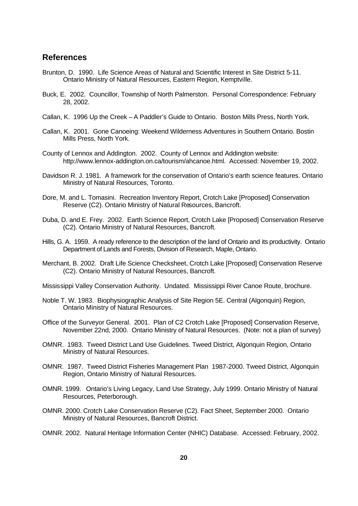# **References**

- Brunton, D. 1990. Life Science Areas of Natural and Scientific Interest in Site District 5-11. Ontario Ministry of Natural Resources, Eastern Region, Kemptville.
- Buck, E. 2002. Councillor, Township of North Palmerston. Personal Correspondence: February 28, 2002.
- Callan, K. 1996 Up the Creek A Paddler's Guide to Ontario. Boston Mills Press, North York.
- Callan, K. 2001. Gone Canoeing: Weekend Wilderness Adventures in Southern Ontario. Bostin Mills Press, North York.
- County of Lennox and Addington. 2002. County of Lennox and Addington website: http://www.lennox-addington.on.ca/tourism/ahcanoe.html. Accessed: November 19, 2002.
- Davidson R. J. 1981. A framework for the conservation of Ontario's earth science features. Ontario Ministry of Natural Resources, Toronto.
- Dore, M. and L. Tomasini. Recreation Inventory Report, Crotch Lake [Proposed] Conservation Reserve (C2). Ontario Ministry of Natural Resources, Bancroft.
- Duba, D. and E. Frey. 2002. Earth Science Report, Crotch Lake [Proposed] Conservation Reserve (C2). Ontario Ministry of Natural Resources, Bancroft.
- Hills, G. A. 1959. A ready reference to the description of the land of Ontario and its productivity. Ontario Department of Lands and Forests, Division of Research, Maple, Ontario.
- Merchant, B. 2002. Draft Life Science Checksheet, Crotch Lake [Proposed] Conservation Reserve (C2). Ontario Ministry of Natural Resources, Bancroft.

Mississippi Valley Conservation Authority. Undated. Mississippi River Canoe Route, brochure.

- Noble T. W. 1983. Biophysiographic Analysis of Site Region 5E. Central (Algonquin) Region, Ontario Ministry of Natural Resources.
- Office of the Surveyor General. 2001. Plan of C2 Crotch Lake [Proposed] Conservation Reserve, November 22nd, 2000. Ontario Ministry of Natural Resources. (Note: not a plan of survey)
- OMNR. 1983. Tweed District Land Use Guidelines. Tweed District, Algonquin Region, Ontario Ministry of Natural Resources.
- OMNR. 1987. Tweed District Fisheries Management Plan 1987-2000. Tweed District, Algonquin Region, Ontario Ministry of Natural Resources.
- OMNR. 1999. Ontario's Living Legacy, Land Use Strategy, July 1999. Ontario Ministry of Natural Resources, Peterborough.
- OMNR. 2000. Crotch Lake Conservation Reserve (C2). Fact Sheet, September 2000. Ontario Ministry of Natural Resources, Bancroft District.
- OMNR. 2002. Natural Heritage Information Center (NHIC) Database. Accessed: February, 2002.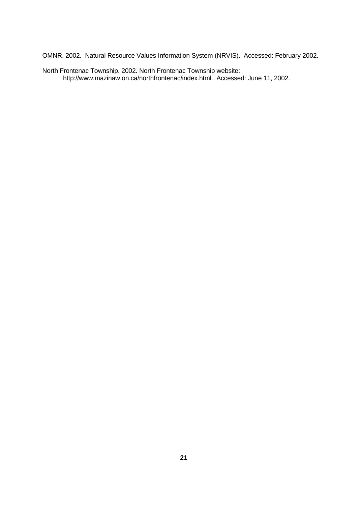OMNR. 2002. Natural Resource Values Information System (NRVIS). Accessed: February 2002.

North Frontenac Township. 2002. North Frontenac Township website: http://www.mazinaw.on.ca/northfrontenac/index.html. Accessed: June 11, 2002.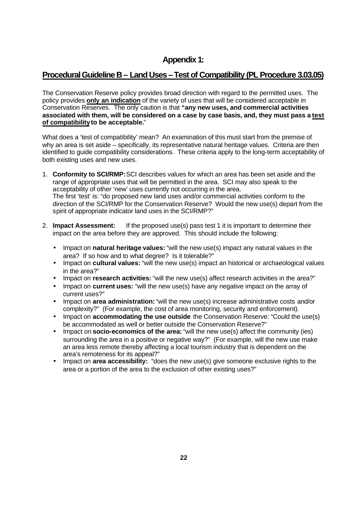# **Appendix 1:**

# **Procedural Guideline B – Land Uses – Test of Compatibility (PL Procedure 3.03.05)**

The Conservation Reserve policy provides broad direction with regard to the permitted uses. The policy provides **only an indication** of the variety of uses that will be considered acceptable in Conservation Reserves. The only caution is that **"any new uses, and commercial activities associated with them, will be considered on a case by case basis, and, they must pass a test of compatibility to be acceptable.**"

What does a 'test of compatibility' mean? An examination of this must start from the premise of why an area is set aside – specifically, its representative natural heritage values. Criteria are then identified to guide compatibility considerations. These criteria apply to the long-term acceptability of both existing uses and new uses.

- 1. **Conformity to SCI/RMP:**SCI describes values for which an area has been set aside and the range of appropriate uses that will be permitted in the area. SCI may also speak to the acceptability of other 'new' uses currently not occurring in the area. The first 'test' is: "do proposed new land uses and/or commercial activities conform to the direction of the SCI/RMP for the Conservation Reserve? Would the new use(s) depart from the spirit of appropriate indicator land uses in the SCI/RMP?"
- 2. **Impact Assessment:** If the proposed use(s) pass test 1 it is important to determine their impact on the area before they are approved. This should include the following:
	- Impact on **natural heritage values:** "will the new use(s) impact any natural values in the area? If so how and to what degree? Is it tolerable?"
	- Impact on **cultural values:** "will the new use(s) impact an historical or archaeological values in the area?"
	- Impact on **research activities:** "will the new use(s) affect research activities in the area?"
	- Impact on **current uses:** "will the new use(s) have any negative impact on the array of current uses?"
	- Impact on **area administration:** "will the new use(s) increase administrative costs and/or complexity?" (For example, the cost of area monitoring, security and enforcement).
	- Impact on **accommodating the use outside** the Conservation Reserve: "Could the use(s) be accommodated as well or better outside the Conservation Reserve?"
	- Impact on **socio-economics of the area:** "will the new use(s) affect the community (ies) surrounding the area in a positive or negative way?" (For example, will the new use make an area less remote thereby affecting a local tourism industry that is dependent on the area's remoteness for its appeal?"
	- Impact on **area accessibility:** "does the new use(s) give someone exclusive rights to the area or a portion of the area to the exclusion of other existing uses?"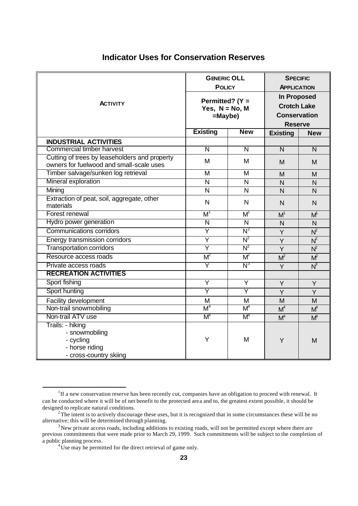# **Indicator Uses for Conservation Reserves**

|                                                                                             | <b>GENERIC OLL</b><br><b>POLICY</b>                   |                         | <b>SPECIFIC</b><br><b>APPLICATION</b>                                             |                         |
|---------------------------------------------------------------------------------------------|-------------------------------------------------------|-------------------------|-----------------------------------------------------------------------------------|-------------------------|
| <b>ACTIVITY</b>                                                                             | Permitted? (Y =<br>Yes, $N = No$ , M<br>$=$ Maybe $)$ |                         | <b>In Proposed</b><br><b>Crotch Lake</b><br><b>Conservation</b><br><b>Reserve</b> |                         |
|                                                                                             | <b>Existing</b>                                       | <b>New</b>              | <b>Existing</b>                                                                   | <b>New</b>              |
| <b>INDUSTRIAL ACTIVITIES</b>                                                                |                                                       |                         |                                                                                   |                         |
| Commercial timber harvest                                                                   | $\overline{\mathsf{N}}$                               | $\overline{\mathsf{N}}$ | $\overline{\mathsf{N}}$                                                           | $\overline{\mathsf{N}}$ |
| Cutting of trees by leaseholders and property<br>owners for fuelwood and small-scale uses   | M                                                     | M                       | M                                                                                 | M                       |
| Timber salvage/sunken log retrieval                                                         | M                                                     | M                       | M                                                                                 | M                       |
| Mineral exploration                                                                         | $\overline{\mathsf{N}}$                               | $\overline{\mathsf{N}}$ | N                                                                                 | $\mathsf{N}$            |
| Mining                                                                                      | $\mathsf{N}$                                          | $\mathsf{N}$            | $\overline{N}$                                                                    | $\overline{N}$          |
| Extraction of peat, soil, aggregate, other<br>materials                                     | N                                                     | N                       | N                                                                                 | N                       |
| Forest renewal                                                                              | $M^1$                                                 | $M^1$                   | M <sup>1</sup>                                                                    | M <sup>1</sup>          |
| Hydro power generation                                                                      | $\overline{\mathsf{N}}$                               | $\overline{\mathsf{N}}$ | $\overline{N}$                                                                    | $\mathsf{N}$            |
| <b>Communications corridors</b>                                                             | $\overline{\mathsf{Y}}$                               | $N^2$                   | Y                                                                                 | $N^2$                   |
| Energy transmission corridors                                                               | $\overline{\mathsf{Y}}$                               | $N^2$                   | Y                                                                                 | $N^2$                   |
| <b>Transportation corridors</b>                                                             | Ÿ                                                     | $N^2$                   | Y                                                                                 | $N^2$                   |
| Resource access roads                                                                       | $M^2$                                                 | $M^2$                   | M <sup>2</sup>                                                                    | $M^2$                   |
| Private access roads                                                                        | Ÿ                                                     | N <sup>3</sup>          | Y                                                                                 | $N^3$                   |
| <b>RECREATION ACTIVITIES</b>                                                                |                                                       |                         |                                                                                   |                         |
| Sport fishing                                                                               | $\overline{\mathsf{Y}}$                               | $\overline{Y}$          | Y                                                                                 | Y                       |
| Sport hunting                                                                               | Ÿ                                                     | Ÿ                       | Y                                                                                 | Y                       |
| Facility development                                                                        | M                                                     | M                       | M                                                                                 | M                       |
| Non-trail snowmobiling                                                                      | M <sup>4</sup>                                        | M <sup>4</sup>          | M <sup>4</sup>                                                                    | $M^4$                   |
| Non-trail ATV use                                                                           | M <sup>4</sup>                                        | M <sup>4</sup>          | M <sup>4</sup>                                                                    | $M^4$                   |
| Trails: - hiking<br>- snowmobiling<br>- cycling<br>- horse riding<br>- cross-country skiing | Y                                                     | M                       | Y                                                                                 | M                       |

<sup>&</sup>lt;sup>1</sup>If a new conservation reserve has been recently cut, companies have an obligation to proceed with renewal. It can be conducted where it will be of net benefit to the protected area and to, the greatest extent possible, it should be designed to replicate natural conditions.

 $2^2$ The intent is to actively discourage these uses, but it is recognized that in some circumstances these will be no alternative; this will be determined through planning.

<sup>&</sup>lt;sup>3</sup>New private access roads, including additions to existing roads, will not be permitted except where there are previous commitments that were made prior to March 29, 1999. Such commitments will be subject to the completion of a public planning process.

<sup>&</sup>lt;sup>4</sup>Use may be permitted for the direct retrieval of game only.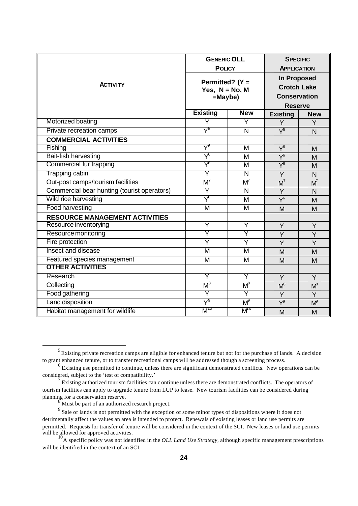|                                             | <b>GENERIC OLL</b><br><b>POLICY</b>                |                         | <b>SPECIFIC</b><br><b>APPLICATION</b>                                             |                |
|---------------------------------------------|----------------------------------------------------|-------------------------|-----------------------------------------------------------------------------------|----------------|
| <b>ACTIVITY</b>                             | Permitted? (Y =<br>Yes, $N = No$ , M<br>$=$ Maybe) |                         | <b>In Proposed</b><br><b>Crotch Lake</b><br><b>Conservation</b><br><b>Reserve</b> |                |
|                                             | <b>Existing</b>                                    | <b>New</b>              | <b>Existing</b>                                                                   | <b>New</b>     |
| Motorized boating                           | Y                                                  | Y                       | Y                                                                                 | Y              |
| Private recreation camps                    | $\sqrt{25}$                                        | N                       | $Y^5$                                                                             | N <sub>1</sub> |
| <b>COMMERCIAL ACTIVITIES</b>                |                                                    |                         |                                                                                   |                |
| Fishing                                     | $\overline{Y^6}$                                   | M                       | $Y^6$                                                                             | M              |
| <b>Bait-fish harvesting</b>                 | $\lambda_{\rm e}$                                  | M                       | $Y^6$                                                                             | M              |
| Commercial fur trapping                     | $\lambda_{\rm e}$                                  | M                       | $\overline{Y^6}$                                                                  | M              |
| <b>Trapping cabin</b>                       | $\overline{Y}$                                     | N                       | Y                                                                                 | N              |
| Out-post camps/tourism facilities           | $M^7$                                              | $M^7$                   | $M^7$                                                                             | M              |
| Commercial bear hunting (tourist operators) | Y                                                  | N                       | Y                                                                                 | N              |
| Wild rice harvesting                        | $\lambda_{\rm e}$                                  | M                       | $\overline{Y^6}$                                                                  | M              |
| <b>Food harvesting</b>                      | $\overline{\mathsf{M}}$                            | $\overline{\mathsf{M}}$ | M                                                                                 | M              |
| <b>RESOURCE MANAGEMENT ACTIVITIES</b>       |                                                    |                         |                                                                                   |                |
| Resource inventorying                       | Y                                                  | Y                       | Y                                                                                 | Y              |
| Resource monitoring                         | $\overline{\mathsf{Y}}$                            | Y                       | Y                                                                                 | Y              |
| Fire protection                             | $\overline{\mathsf{Y}}$                            | $\overline{\mathsf{Y}}$ | Y                                                                                 | Y              |
| Insect and disease                          | $\overline{\mathsf{M}}$                            | $\overline{\mathsf{M}}$ | M                                                                                 | M              |
| Featured species management                 | M                                                  | M                       | M                                                                                 | M              |
| <b>OTHER ACTIVITIES</b>                     |                                                    |                         |                                                                                   |                |
| Research                                    | Ÿ                                                  | Ÿ                       | Y                                                                                 | Y              |
| Collecting                                  | $\textsf{M}^{\textsf{8}}$                          | $M^8$                   | $M^8$                                                                             | $M^8$          |
| Food gathering                              | $\overline{\mathsf{Y}}$                            | Y                       | Y                                                                                 | Y              |
| Land disposition                            | $\mathsf{Y}^9$                                     | $M^9$                   | $\overline{Y^9}$                                                                  | $M^{\rho}$     |
| Habitat management for wildlife             | $M^{10}$                                           | $M^{\sigma}$            | M                                                                                 | M              |

l

 $<sup>5</sup>$  Existing private recreation camps are eligible for enhanced tenure but not for the purchase of lands. A decision</sup> to grant enhanced tenure, or to transfer recreational camps will be addressed though a screening process.

<sup>&</sup>lt;sup>6</sup> Existing use permitted to continue, unless there are significant demonstrated conflicts. New operations can be considered, subject to the 'test of compatibility.'

<sup>&</sup>lt;sup>7</sup> Existing authorized tourism facilities can c ontinue unless there are demonstrated conflicts. The operators of tourism facilities can apply to upgrade tenure from LUP to lease. New tourism facilities can be considered during planning for a conservation reserve.

 $\delta$ Must be part of an authorized research project.

 $9<sup>9</sup>$  Sale of lands is not permitted with the exception of some minor types of dispositions where it does not detrimentally affect the values an area is intended to protect. Renewals of existing leases or land use permits are permitted. Requests for transfer of tenure will be considered in the context of the SCI. New leases or land use permits will be allowed for approved activities.

<sup>&</sup>lt;sup>10</sup>A specific policy was not identified in the *OLL Land Use Strategy*, although specific management prescriptions will be identified in the context of an SCI.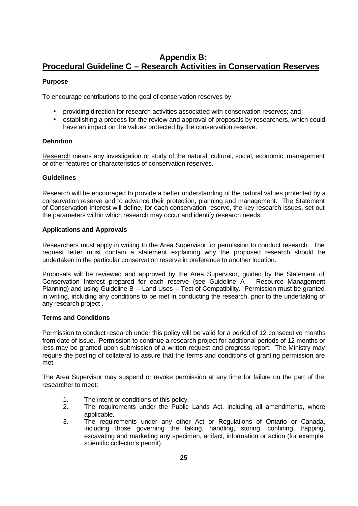# **Appendix B: Procedural Guideline C – Research Activities in Conservation Reserves**

### **Purpose**

To encourage contributions to the goal of conservation reserves by:

- providing direction for research activities associated with conservation reserves; and
- establishing a process for the review and approval of proposals by researchers, which could have an impact on the values protected by the conservation reserve.

### **Definition**

Research means any investigation or study of the natural, cultural, social, economic, management or other features or characteristics of conservation reserves.

### **Guidelines**

Research will be encouraged to provide a better understanding of the natural values protected by a conservation reserve and to advance their protection, planning and management. The Statement of Conservation Interest will define, for each conservation reserve, the key research issues, set out the parameters within which research may occur and identify research needs.

### **Applications and Approvals**

Researchers must apply in writing to the Area Supervisor for permission to conduct research. The request letter must contain a statement explaining why the proposed research should be undertaken in the particular conservation reserve in preference to another location.

Proposals will be reviewed and approved by the Area Supervisor, guided by the Statement of Conservation Interest prepared for each reserve (see Guideline A – Resource Management Planning) and using Guideline B – Land Uses – Test of Compatibility. Permission must be granted in writing, including any conditions to be met in conducting the research, prior to the undertaking of any research project .

#### **Terms and Conditions**

Permission to conduct research under this policy will be valid for a period of 12 consecutive months from date of issue. Permission to continue a research project for additional periods of 12 months or less may be granted upon submission of a written request and progress report. The Ministry may require the posting of collateral to assure that the terms and conditions of granting permission are met.

The Area Supervisor may suspend or revoke permission at any time for failure on the part of the researcher to meet:

- 1. The intent or conditions of this policy.
- 2. The requirements under the Public Lands Act, including all amendments, where applicable.
- 3. The requirements under any other Act or Regulations of Ontario or Canada, including those governing the taking, handling, storing, confining, trapping, excavating and marketing any specimen, artifact, information or action (for example, scientific collector's permit).